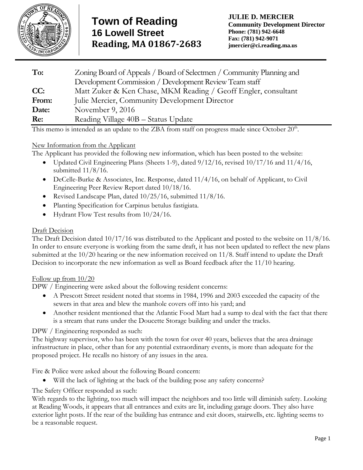

| To:   | Zoning Board of Appeals / Board of Selectmen / Community Planning and |
|-------|-----------------------------------------------------------------------|
|       | Development Commission / Development Review Team staff                |
| CC:   | Matt Zuker & Ken Chase, MKM Reading / Geoff Engler, consultant        |
| From: | Julie Mercier, Community Development Director                         |
| Date: | November 9, 2016                                                      |
| Re:   | Reading Village 40B - Status Update                                   |

This memo is intended as an update to the ZBA from staff on progress made since October  $20<sup>th</sup>$ .

# New Information from the Applicant

The Applicant has provided the following new information, which has been posted to the website:

- Updated Civil Engineering Plans (Sheets 1-9), dated 9/12/16, revised 10/17/16 and 11/4/16, submitted 11/8/16.
- $\bullet$  DeCelle-Burke & Associates, Inc. Response, dated 11/4/16, on behalf of Applicant, to Civil Engineering Peer Review Report dated 10/18/16.
- Revised Landscape Plan, dated  $10/25/16$ , submitted  $11/8/16$ .
- Planting Specification for Carpinus betulus fastigiata.
- Hydrant Flow Test results from 10/24/16.

## Draft Decision

The Draft Decision dated 10/17/16 was distributed to the Applicant and posted to the website on 11/8/16. In order to ensure everyone is working from the same draft, it has not been updated to reflect the new plans submitted at the 10/20 hearing or the new information received on 11/8. Staff intend to update the Draft Decision to incorporate the new information as well as Board feedback after the 11/10 hearing.

### Follow up from  $10/20$

DPW / Engineering were asked about the following resident concerns:

- A Prescott Street resident noted that storms in 1984, 1996 and 2003 exceeded the capacity of the sewers in that area and blew the manhole covers off into his yard; and
- Another resident mentioned that the Atlantic Food Mart had a sump to deal with the fact that there is a stream that runs under the Doucette Storage building and under the tracks.

# DPW / Engineering responded as such:

The highway supervisor, who has been with the town for over 40 years, believes that the area drainage infrastructure in place, other than for any potential extraordinary events, is more than adequate for the proposed project. He recalls no history of any issues in the area.

Fire & Police were asked about the following Board concern:

Will the lack of lighting at the back of the building pose any safety concerns?

# The Safety Officer responded as such:

With regards to the lighting, too much will impact the neighbors and too little will diminish safety. Looking at Reading Woods, it appears that all entrances and exits are lit, including garage doors. They also have exterior light posts. If the rear of the building has entrance and exit doors, stairwells, etc. lighting seems to be a reasonable request.